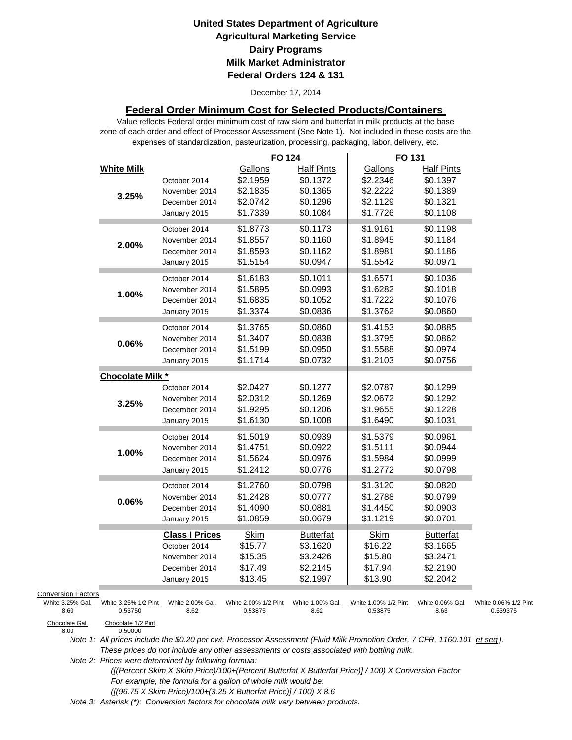December 17, 2014

#### **Federal Order Minimum Cost for Selected Products/Containers**

zone of each order and effect of Processor Assessment (See Note 1). Not included in these costs are the expenses of standardization, pasteurization, processing, packaging, labor, delivery, etc. Value reflects Federal order minimum cost of raw skim and butterfat in milk products at the base

|                           |                         |                               | <b>FO 124</b>        |                   | FO 131               |                   |                      |
|---------------------------|-------------------------|-------------------------------|----------------------|-------------------|----------------------|-------------------|----------------------|
|                           | <b>White Milk</b>       |                               | Gallons              | <b>Half Pints</b> | Gallons              | <b>Half Pints</b> |                      |
|                           |                         | October 2014                  | \$2.1959             | \$0.1372          | \$2.2346             | \$0.1397          |                      |
|                           |                         | November 2014                 | \$2.1835             | \$0.1365          | \$2.2222             | \$0.1389          |                      |
|                           | 3.25%                   | December 2014                 | \$2.0742             | \$0.1296          | \$2.1129             | \$0.1321          |                      |
|                           |                         | January 2015                  | \$1.7339             | \$0.1084          | \$1.7726             | \$0.1108          |                      |
|                           |                         | October 2014                  | \$1.8773             | \$0.1173          | \$1.9161             | \$0.1198          |                      |
|                           |                         | November 2014                 | \$1.8557             | \$0.1160          | \$1.8945             | \$0.1184          |                      |
|                           | 2.00%                   | December 2014                 | \$1.8593             | \$0.1162          | \$1.8981             | \$0.1186          |                      |
|                           |                         | January 2015                  | \$1.5154             | \$0.0947          | \$1.5542             | \$0.0971          |                      |
|                           |                         |                               | \$1.6183             | \$0.1011          | \$1.6571             | \$0.1036          |                      |
|                           |                         | October 2014<br>November 2014 | \$1.5895             | \$0.0993          | \$1.6282             | \$0.1018          |                      |
|                           | 1.00%                   | December 2014                 | \$1.6835             | \$0.1052          | \$1.7222             | \$0.1076          |                      |
|                           |                         |                               | \$1.3374             | \$0.0836          | \$1.3762             | \$0.0860          |                      |
|                           |                         | January 2015                  |                      |                   |                      |                   |                      |
|                           |                         | October 2014                  | \$1.3765             | \$0.0860          | \$1.4153             | \$0.0885          |                      |
|                           | 0.06%                   | November 2014                 | \$1.3407             | \$0.0838          | \$1.3795             | \$0.0862          |                      |
|                           |                         | December 2014                 | \$1.5199             | \$0.0950          | \$1.5588             | \$0.0974          |                      |
|                           |                         | January 2015                  | \$1.1714             | \$0.0732          | \$1.2103             | \$0.0756          |                      |
|                           | <b>Chocolate Milk *</b> |                               |                      |                   |                      |                   |                      |
|                           |                         | October 2014                  | \$2.0427             | \$0.1277          | \$2.0787             | \$0.1299          |                      |
|                           | 3.25%                   | November 2014                 | \$2.0312             | \$0.1269          | \$2.0672             | \$0.1292          |                      |
|                           |                         | December 2014                 | \$1.9295             | \$0.1206          | \$1.9655             | \$0.1228          |                      |
|                           |                         | January 2015                  | \$1.6130             | \$0.1008          | \$1.6490             | \$0.1031          |                      |
|                           |                         | October 2014                  | \$1.5019             | \$0.0939          | \$1.5379             | \$0.0961          |                      |
|                           |                         | November 2014                 | \$1.4751             | \$0.0922          | \$1.5111             | \$0.0944          |                      |
|                           | 1.00%                   | December 2014                 | \$1.5624             | \$0.0976          | \$1.5984             | \$0.0999          |                      |
|                           |                         | January 2015                  | \$1.2412             | \$0.0776          | \$1.2772             | \$0.0798          |                      |
|                           |                         | October 2014                  | \$1.2760             | \$0.0798          | \$1.3120             | \$0.0820          |                      |
|                           |                         | November 2014                 | \$1.2428             | \$0.0777          | \$1.2788             | \$0.0799          |                      |
|                           | 0.06%                   | December 2014                 | \$1.4090             | \$0.0881          | \$1.4450             | \$0.0903          |                      |
|                           |                         | January 2015                  | \$1.0859             | \$0.0679          | \$1.1219             | \$0.0701          |                      |
|                           |                         | <b>Class I Prices</b>         | <b>Skim</b>          | <b>Butterfat</b>  | <b>Skim</b>          | <b>Butterfat</b>  |                      |
|                           |                         | October 2014                  | \$15.77              | \$3.1620          | \$16.22              | \$3.1665          |                      |
|                           |                         | November 2014                 | \$15.35              | \$3.2426          | \$15.80              | \$3.2471          |                      |
|                           |                         | December 2014                 | \$17.49              | \$2.2145          | \$17.94              | \$2.2190          |                      |
|                           |                         | January 2015                  | \$13.45              | \$2.1997          | \$13.90              | \$2.2042          |                      |
| <b>Conversion Factors</b> |                         |                               |                      |                   |                      |                   |                      |
| White 3.25% Gal.          | White 3.25% 1/2 Pint    | White 2.00% Gal.              | White 2.00% 1/2 Pint | White 1.00% Gal.  | White 1.00% 1/2 Pint | White 0.06% Gal.  | White 0.06% 1/2 Pint |
| 8.60                      | 0.53750                 | 8.62                          | 0.53875              | 8.62              | 0.53875              | 8.63              | 0.539375             |
| Chocolate Cal             | Chocolate 1/2 Dint      |                               |                      |                   |                      |                   |                      |

Chocolate Gal.<br>8.00

0.50000

*Note 1: All prices include the \$0.20 per cwt. Processor Assessment (Fluid Milk Promotion Order, 7 CFR, 1160.101 et seq ). These prices do not include any other assessments or costs associated with bottling milk.*

*Note 2: Prices were determined by following formula:* 

 *([(Percent Skim X Skim Price)/100+(Percent Butterfat X Butterfat Price)] / 100) X Conversion Factor For example, the formula for a gallon of whole milk would be: ([(96.75 X Skim Price)/100+(3.25 X Butterfat Price)] / 100) X 8.6*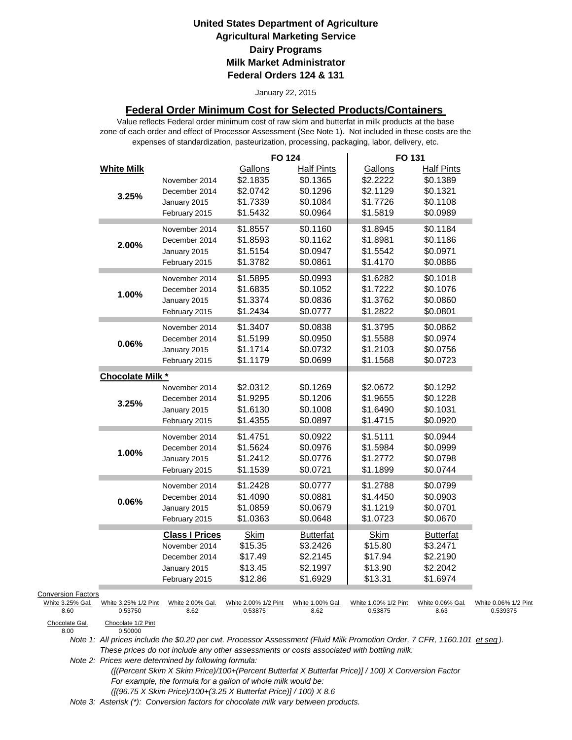#### January 22, 2015

#### **Federal Order Minimum Cost for Selected Products/Containers**

zone of each order and effect of Processor Assessment (See Note 1). Not included in these costs are the expenses of standardization, pasteurization, processing, packaging, labor, delivery, etc. Value reflects Federal order minimum cost of raw skim and butterfat in milk products at the base

|                           |                               |                       | <b>FO 124</b>        |                   | FO 131               |                      |                      |
|---------------------------|-------------------------------|-----------------------|----------------------|-------------------|----------------------|----------------------|----------------------|
|                           | <b>White Milk</b>             |                       | Gallons              | <b>Half Pints</b> | Gallons              | <b>Half Pints</b>    |                      |
|                           |                               | November 2014         | \$2.1835             | \$0.1365          | \$2.2222             | \$0.1389             |                      |
|                           | 3.25%                         | December 2014         | \$2.0742             | \$0.1296          | \$2.1129             | \$0.1321             |                      |
|                           |                               | January 2015          | \$1.7339             | \$0.1084          | \$1.7726             | \$0.1108             |                      |
|                           |                               | February 2015         | \$1.5432             | \$0.0964          | \$1.5819             | \$0.0989             |                      |
|                           |                               | November 2014         | \$1.8557             | \$0.1160          | \$1.8945             | \$0.1184             |                      |
|                           |                               | December 2014         | \$1.8593             | \$0.1162          | \$1.8981             | \$0.1186             |                      |
|                           | 2.00%                         | January 2015          | \$1.5154             | \$0.0947          | \$1.5542             | \$0.0971             |                      |
|                           |                               | February 2015         | \$1.3782             | \$0.0861          | \$1.4170             | \$0.0886             |                      |
|                           |                               |                       |                      |                   |                      |                      |                      |
|                           |                               | November 2014         | \$1.5895             | \$0.0993          | \$1.6282             | \$0.1018             |                      |
|                           | 1.00%                         | December 2014         | \$1.6835             | \$0.1052          | \$1.7222             | \$0.1076             |                      |
|                           |                               | January 2015          | \$1.3374             | \$0.0836          | \$1.3762             | \$0.0860             |                      |
|                           |                               | February 2015         | \$1.2434             | \$0.0777          | \$1.2822             | \$0.0801             |                      |
|                           |                               | November 2014         | \$1.3407             | \$0.0838          | \$1.3795             | \$0.0862             |                      |
|                           | 0.06%                         | December 2014         | \$1.5199             | \$0.0950          | \$1.5588             | \$0.0974             |                      |
|                           |                               | January 2015          | \$1.1714             | \$0.0732          | \$1.2103             | \$0.0756             |                      |
|                           |                               | February 2015         | \$1.1179             | \$0.0699          | \$1.1568             | \$0.0723             |                      |
|                           | <b>Chocolate Milk *</b>       |                       |                      |                   |                      |                      |                      |
|                           |                               | November 2014         | \$2.0312             | \$0.1269          | \$2.0672             | \$0.1292             |                      |
|                           |                               | December 2014         | \$1.9295             | \$0.1206          | \$1.9655             | \$0.1228             |                      |
|                           | 3.25%                         | January 2015          | \$1.6130             | \$0.1008          | \$1.6490             | \$0.1031             |                      |
|                           |                               | February 2015         | \$1.4355             | \$0.0897          | \$1.4715             | \$0.0920             |                      |
|                           |                               |                       |                      | \$0.0922          | \$1.5111             |                      |                      |
|                           |                               | November 2014         | \$1.4751<br>\$1.5624 | \$0.0976          | \$1.5984             | \$0.0944<br>\$0.0999 |                      |
|                           | 1.00%                         | December 2014         |                      |                   |                      |                      |                      |
|                           |                               | January 2015          | \$1.2412             | \$0.0776          | \$1.2772             | \$0.0798             |                      |
|                           |                               | February 2015         | \$1.1539             | \$0.0721          | \$1.1899             | \$0.0744             |                      |
|                           |                               | November 2014         | \$1.2428             | \$0.0777          | \$1.2788             | \$0.0799             |                      |
|                           | 0.06%                         | December 2014         | \$1.4090             | \$0.0881          | \$1.4450             | \$0.0903             |                      |
|                           |                               | January 2015          | \$1.0859             | \$0.0679          | \$1.1219             | \$0.0701             |                      |
|                           |                               | February 2015         | \$1.0363             | \$0.0648          | \$1.0723             | \$0.0670             |                      |
|                           |                               | <b>Class I Prices</b> | <b>Skim</b>          | <b>Butterfat</b>  | <b>Skim</b>          | <b>Butterfat</b>     |                      |
|                           |                               | November 2014         | \$15.35              | \$3.2426          | \$15.80              | \$3.2471             |                      |
|                           |                               | December 2014         | \$17.49              | \$2.2145          | \$17.94              | \$2.2190             |                      |
|                           |                               | January 2015          | \$13.45              | \$2.1997          | \$13.90              | \$2.2042             |                      |
|                           |                               | February 2015         | \$12.86              | \$1.6929          | \$13.31              | \$1.6974             |                      |
| <b>Conversion Factors</b> |                               |                       |                      |                   |                      |                      |                      |
| White 3.25% Gal.          | White 3.25% 1/2 Pint          | White 2.00% Gal.      | White 2.00% 1/2 Pint | White 1.00% Gal.  | White 1.00% 1/2 Pint | White 0.06% Gal.     | White 0.06% 1/2 Pint |
| 8.60                      | 0.53750                       | 8.62                  | 0.53875              | 8.62              | 0.53875              | 8.63                 | 0.539375             |
| Chocolate Gal.<br>8.00    | Chocolate 1/2 Pint<br>0.50000 |                       |                      |                   |                      |                      |                      |

*Note 1: All prices include the \$0.20 per cwt. Processor Assessment (Fluid Milk Promotion Order, 7 CFR, 1160.101 et seq ). These prices do not include any other assessments or costs associated with bottling milk.*

*Note 2: Prices were determined by following formula:* 

 *([(Percent Skim X Skim Price)/100+(Percent Butterfat X Butterfat Price)] / 100) X Conversion Factor For example, the formula for a gallon of whole milk would be: ([(96.75 X Skim Price)/100+(3.25 X Butterfat Price)] / 100) X 8.6*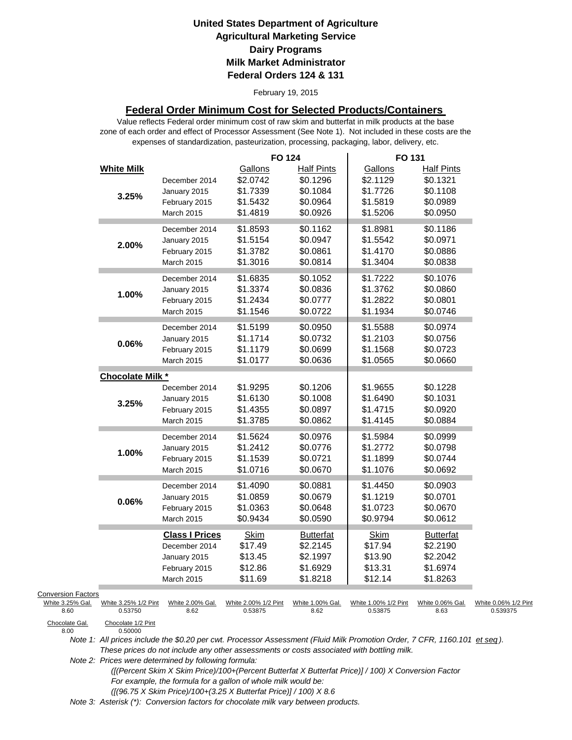#### February 19, 2015

#### **Federal Order Minimum Cost for Selected Products/Containers**

zone of each order and effect of Processor Assessment (See Note 1). Not included in these costs are the expenses of standardization, pasteurization, processing, packaging, labor, delivery, etc. Value reflects Federal order minimum cost of raw skim and butterfat in milk products at the base

|                                                                         |                                                       |                                                                                              | <b>FO 124</b>                                           |                                                                   | FO 131                                                  |                                                                   |                                  |
|-------------------------------------------------------------------------|-------------------------------------------------------|----------------------------------------------------------------------------------------------|---------------------------------------------------------|-------------------------------------------------------------------|---------------------------------------------------------|-------------------------------------------------------------------|----------------------------------|
|                                                                         | <b>White Milk</b><br>3.25%                            | December 2014<br>January 2015<br>February 2015<br><b>March 2015</b>                          | Gallons<br>\$2.0742<br>\$1.7339<br>\$1.5432<br>\$1.4819 | <b>Half Pints</b><br>\$0.1296<br>\$0.1084<br>\$0.0964<br>\$0.0926 | Gallons<br>\$2.1129<br>\$1.7726<br>\$1.5819<br>\$1.5206 | <b>Half Pints</b><br>\$0.1321<br>\$0.1108<br>\$0.0989<br>\$0.0950 |                                  |
|                                                                         | 2.00%                                                 | December 2014<br>January 2015<br>February 2015<br>March 2015                                 | \$1.8593<br>\$1.5154<br>\$1.3782<br>\$1.3016            | \$0.1162<br>\$0.0947<br>\$0.0861<br>\$0.0814                      | \$1.8981<br>\$1.5542<br>\$1.4170<br>\$1.3404            | \$0.1186<br>\$0.0971<br>\$0.0886<br>\$0.0838                      |                                  |
|                                                                         | 1.00%                                                 | December 2014<br>January 2015<br>February 2015<br>March 2015                                 | \$1.6835<br>\$1.3374<br>\$1.2434<br>\$1.1546            | \$0.1052<br>\$0.0836<br>\$0.0777<br>\$0.0722                      | \$1.7222<br>\$1.3762<br>\$1.2822<br>\$1.1934            | \$0.1076<br>\$0.0860<br>\$0.0801<br>\$0.0746                      |                                  |
|                                                                         | $0.06\%$                                              | December 2014<br>January 2015<br>February 2015<br>March 2015                                 | \$1.5199<br>\$1.1714<br>\$1.1179<br>\$1.0177            | \$0.0950<br>\$0.0732<br>\$0.0699<br>\$0.0636                      | \$1.5588<br>\$1.2103<br>\$1.1568<br>\$1.0565            | \$0.0974<br>\$0.0756<br>\$0.0723<br>\$0.0660                      |                                  |
|                                                                         | <b>Chocolate Milk *</b>                               |                                                                                              |                                                         |                                                                   |                                                         |                                                                   |                                  |
|                                                                         | 3.25%                                                 | December 2014<br>January 2015<br>February 2015<br>March 2015                                 | \$1.9295<br>\$1.6130<br>\$1.4355<br>\$1.3785            | \$0.1206<br>\$0.1008<br>\$0.0897<br>\$0.0862                      | \$1.9655<br>\$1.6490<br>\$1.4715<br>\$1.4145            | \$0.1228<br>\$0.1031<br>\$0.0920<br>\$0.0884                      |                                  |
|                                                                         | 1.00%                                                 | December 2014<br>January 2015<br>February 2015<br>March 2015                                 | \$1.5624<br>\$1.2412<br>\$1.1539<br>\$1.0716            | \$0.0976<br>\$0.0776<br>\$0.0721<br>\$0.0670                      | \$1.5984<br>\$1.2772<br>\$1.1899<br>\$1.1076            | \$0.0999<br>\$0.0798<br>\$0.0744<br>\$0.0692                      |                                  |
|                                                                         | 0.06%                                                 | December 2014<br>January 2015<br>February 2015<br>March 2015                                 | \$1.4090<br>\$1.0859<br>\$1.0363<br>\$0.9434            | \$0.0881<br>\$0.0679<br>\$0.0648<br>\$0.0590                      | \$1.4450<br>\$1.1219<br>\$1.0723<br>\$0.9794            | \$0.0903<br>\$0.0701<br>\$0.0670<br>\$0.0612                      |                                  |
|                                                                         |                                                       | <b>Class I Prices</b><br>December 2014<br>January 2015<br>February 2015<br><b>March 2015</b> | <b>Skim</b><br>\$17.49<br>\$13.45<br>\$12.86<br>\$11.69 | <b>Butterfat</b><br>\$2.2145<br>\$2.1997<br>\$1.6929<br>\$1.8218  | Skim<br>\$17.94<br>\$13.90<br>\$13.31<br>\$12.14        | <b>Butterfat</b><br>\$2.2190<br>\$2.2042<br>\$1.6974<br>\$1.8263  |                                  |
| <b>Conversion Factors</b><br>White 3.25% Gal.<br>8.60<br>Chocolate Gal. | White 3.25% 1/2 Pint<br>0.53750<br>Chocolate 1/2 Pint | White 2.00% Gal.<br>8.62                                                                     | White 2.00% 1/2 Pint<br>0.53875                         | White 1.00% Gal.<br>8.62                                          | White 1.00% 1/2 Pint<br>0.53875                         | White 0.06% Gal.<br>8.63                                          | White 0.06% 1/2 Pint<br>0.539375 |
| 8.00                                                                    | 0.50000                                               |                                                                                              |                                                         |                                                                   |                                                         |                                                                   |                                  |

*Note 1: All prices include the \$0.20 per cwt. Processor Assessment (Fluid Milk Promotion Order, 7 CFR, 1160.101 et seq ). These prices do not include any other assessments or costs associated with bottling milk.*

*Note 2: Prices were determined by following formula:* 

 *([(Percent Skim X Skim Price)/100+(Percent Butterfat X Butterfat Price)] / 100) X Conversion Factor For example, the formula for a gallon of whole milk would be: ([(96.75 X Skim Price)/100+(3.25 X Butterfat Price)] / 100) X 8.6*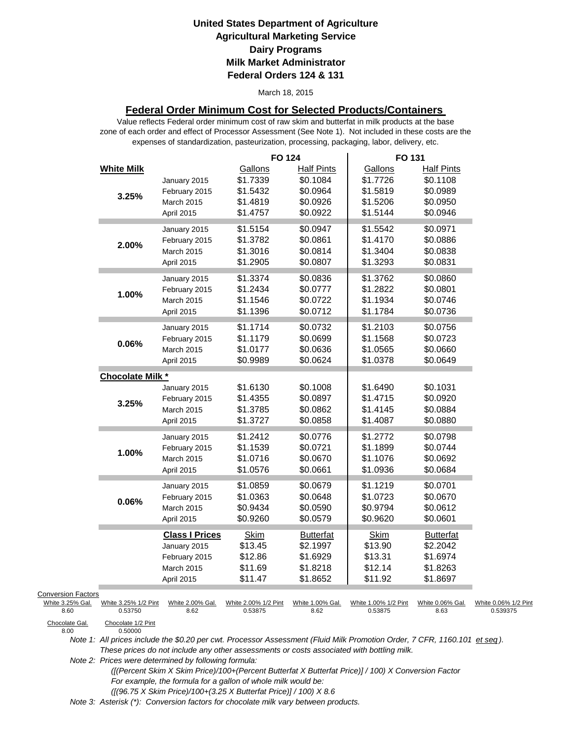#### March 18, 2015

#### **Federal Order Minimum Cost for Selected Products/Containers**

zone of each order and effect of Processor Assessment (See Note 1). Not included in these costs are the expenses of standardization, pasteurization, processing, packaging, labor, delivery, etc. Value reflects Federal order minimum cost of raw skim and butterfat in milk products at the base

|                           |                               |                       | <b>FO 124</b>        |                               | FO 131               |                               |                      |
|---------------------------|-------------------------------|-----------------------|----------------------|-------------------------------|----------------------|-------------------------------|----------------------|
|                           | <b>White Milk</b>             | January 2015          | Gallons<br>\$1.7339  | <b>Half Pints</b><br>\$0.1084 | Gallons<br>\$1.7726  | <b>Half Pints</b><br>\$0.1108 |                      |
|                           |                               | February 2015         | \$1.5432             | \$0.0964                      | \$1.5819             | \$0.0989                      |                      |
|                           | 3.25%                         | March 2015            | \$1.4819             | \$0.0926                      | \$1.5206             | \$0.0950                      |                      |
|                           |                               |                       | \$1.4757             | \$0.0922                      | \$1.5144             | \$0.0946                      |                      |
|                           |                               | April 2015            |                      |                               |                      |                               |                      |
|                           |                               | January 2015          | \$1.5154             | \$0.0947                      | \$1.5542             | \$0.0971                      |                      |
|                           | 2.00%                         | February 2015         | \$1.3782             | \$0.0861                      | \$1.4170             | \$0.0886                      |                      |
|                           |                               | March 2015            | \$1.3016             | \$0.0814                      | \$1.3404             | \$0.0838                      |                      |
|                           |                               | April 2015            | \$1.2905             | \$0.0807                      | \$1.3293             | \$0.0831                      |                      |
|                           |                               | January 2015          | \$1.3374             | \$0.0836                      | \$1.3762             | \$0.0860                      |                      |
|                           |                               | February 2015         | \$1.2434             | \$0.0777                      | \$1.2822             | \$0.0801                      |                      |
|                           | 1.00%                         | March 2015            | \$1.1546             | \$0.0722                      | \$1.1934             | \$0.0746                      |                      |
|                           |                               | April 2015            | \$1.1396             | \$0.0712                      | \$1.1784             | \$0.0736                      |                      |
|                           |                               |                       |                      |                               |                      |                               |                      |
|                           |                               | January 2015          | \$1.1714             | \$0.0732                      | \$1.2103             | \$0.0756                      |                      |
|                           | 0.06%                         | February 2015         | \$1.1179             | \$0.0699                      | \$1.1568             | \$0.0723                      |                      |
|                           |                               | March 2015            | \$1.0177             | \$0.0636                      | \$1.0565             | \$0.0660                      |                      |
|                           |                               | April 2015            | \$0.9989             | \$0.0624                      | \$1.0378             | \$0.0649                      |                      |
|                           | <b>Chocolate Milk *</b>       |                       |                      |                               |                      |                               |                      |
|                           |                               | January 2015          | \$1.6130             | \$0.1008                      | \$1.6490             | \$0.1031                      |                      |
|                           | 3.25%                         | February 2015         | \$1.4355             | \$0.0897                      | \$1.4715             | \$0.0920                      |                      |
|                           |                               | March 2015            | \$1.3785             | \$0.0862                      | \$1.4145             | \$0.0884                      |                      |
|                           |                               | April 2015            | \$1.3727             | \$0.0858                      | \$1.4087             | \$0.0880                      |                      |
|                           |                               |                       |                      | \$0.0776                      |                      | \$0.0798                      |                      |
|                           |                               | January 2015          | \$1.2412             |                               | \$1.2772             |                               |                      |
|                           | 1.00%                         | February 2015         | \$1.1539             | \$0.0721                      | \$1.1899             | \$0.0744                      |                      |
|                           |                               | March 2015            | \$1.0716             | \$0.0670                      | \$1.1076             | \$0.0692                      |                      |
|                           |                               | April 2015            | \$1.0576             | \$0.0661                      | \$1.0936             | \$0.0684                      |                      |
|                           |                               | January 2015          | \$1.0859             | \$0.0679                      | \$1.1219             | \$0.0701                      |                      |
|                           | 0.06%                         | February 2015         | \$1.0363             | \$0.0648                      | \$1.0723             | \$0.0670                      |                      |
|                           |                               | March 2015            | \$0.9434             | \$0.0590                      | \$0.9794             | \$0.0612                      |                      |
|                           |                               | April 2015            | \$0.9260             | \$0.0579                      | \$0.9620             | \$0.0601                      |                      |
|                           |                               | <b>Class I Prices</b> | <b>Skim</b>          | <b>Butterfat</b>              | <b>Skim</b>          | <b>Butterfat</b>              |                      |
|                           |                               | January 2015          | \$13.45              | \$2.1997                      | \$13.90              | \$2.2042                      |                      |
|                           |                               | February 2015         | \$12.86              | \$1.6929                      | \$13.31              | \$1.6974                      |                      |
|                           |                               | March 2015            | \$11.69              | \$1.8218                      | \$12.14              | \$1.8263                      |                      |
|                           |                               | April 2015            | \$11.47              | \$1.8652                      | \$11.92              | \$1.8697                      |                      |
| <b>Conversion Factors</b> |                               |                       |                      |                               |                      |                               |                      |
| White 3.25% Gal.          | White 3.25% 1/2 Pint          | White 2.00% Gal.      | White 2.00% 1/2 Pint | White 1.00% Gal.              | White 1.00% 1/2 Pint | White 0.06% Gal.              | White 0.06% 1/2 Pint |
| 8.60                      | 0.53750                       | 8.62                  | 0.53875              | 8.62                          | 0.53875              | 8.63                          | 0.539375             |
| Chocolate Gal.<br>8.00    | Chocolate 1/2 Pint<br>0.50000 |                       |                      |                               |                      |                               |                      |

*Note 1: All prices include the \$0.20 per cwt. Processor Assessment (Fluid Milk Promotion Order, 7 CFR, 1160.101 et seq ). These prices do not include any other assessments or costs associated with bottling milk.*

*Note 2: Prices were determined by following formula:* 

 *([(Percent Skim X Skim Price)/100+(Percent Butterfat X Butterfat Price)] / 100) X Conversion Factor For example, the formula for a gallon of whole milk would be: ([(96.75 X Skim Price)/100+(3.25 X Butterfat Price)] / 100) X 8.6*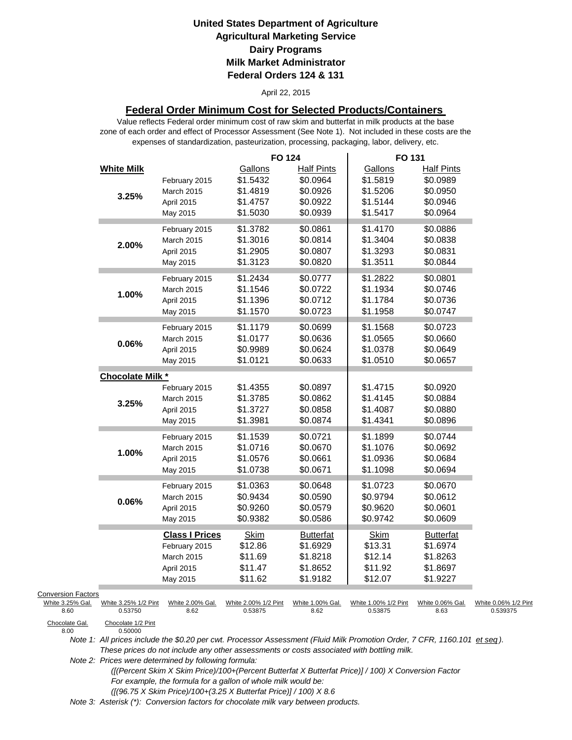#### April 22, 2015

### **Federal Order Minimum Cost for Selected Products/Containers**

zone of each order and effect of Processor Assessment (See Note 1). Not included in these costs are the expenses of standardization, pasteurization, processing, packaging, labor, delivery, etc. Value reflects Federal order minimum cost of raw skim and butterfat in milk products at the base

|                           |                               |                       | <b>FO 124</b>        |                      | FO 131               |                      |                      |
|---------------------------|-------------------------------|-----------------------|----------------------|----------------------|----------------------|----------------------|----------------------|
|                           | <b>White Milk</b>             |                       | Gallons              | <b>Half Pints</b>    | Gallons              | <b>Half Pints</b>    |                      |
|                           |                               | February 2015         | \$1.5432<br>\$1.4819 | \$0.0964<br>\$0.0926 | \$1.5819<br>\$1.5206 | \$0.0989<br>\$0.0950 |                      |
|                           | 3.25%                         | March 2015            |                      |                      |                      | \$0.0946             |                      |
|                           |                               | April 2015            | \$1.4757             | \$0.0922             | \$1.5144             |                      |                      |
|                           |                               | May 2015              | \$1.5030             | \$0.0939             | \$1.5417             | \$0.0964             |                      |
|                           |                               | February 2015         | \$1.3782             | \$0.0861             | \$1.4170             | \$0.0886             |                      |
|                           | 2.00%                         | March 2015            | \$1.3016             | \$0.0814             | \$1.3404             | \$0.0838             |                      |
|                           |                               | April 2015            | \$1.2905             | \$0.0807             | \$1.3293             | \$0.0831             |                      |
|                           |                               | May 2015              | \$1.3123             | \$0.0820             | \$1.3511             | \$0.0844             |                      |
|                           |                               | February 2015         | \$1.2434             | \$0.0777             | \$1.2822             | \$0.0801             |                      |
|                           |                               | March 2015            | \$1.1546             | \$0.0722             | \$1.1934             | \$0.0746             |                      |
|                           | 1.00%                         | April 2015            | \$1.1396             | \$0.0712             | \$1.1784             | \$0.0736             |                      |
|                           |                               |                       |                      |                      |                      |                      |                      |
|                           |                               | May 2015              | \$1.1570             | \$0.0723             | \$1.1958             | \$0.0747             |                      |
|                           |                               | February 2015         | \$1.1179             | \$0.0699             | \$1.1568             | \$0.0723             |                      |
|                           | 0.06%                         | March 2015            | \$1.0177             | \$0.0636             | \$1.0565             | \$0.0660             |                      |
|                           |                               | April 2015            | \$0.9989             | \$0.0624             | \$1.0378             | \$0.0649             |                      |
|                           |                               | May 2015              | \$1.0121             | \$0.0633             | \$1.0510             | \$0.0657             |                      |
|                           | Chocolate Milk *              |                       |                      |                      |                      |                      |                      |
|                           |                               | February 2015         | \$1.4355             | \$0.0897             | \$1.4715             | \$0.0920             |                      |
|                           | 3.25%                         | March 2015            | \$1.3785             | \$0.0862             | \$1.4145             | \$0.0884             |                      |
|                           |                               | April 2015            | \$1.3727             | \$0.0858             | \$1.4087             | \$0.0880             |                      |
|                           |                               | May 2015              | \$1.3981             | \$0.0874             | \$1.4341             | \$0.0896             |                      |
|                           |                               |                       |                      |                      |                      |                      |                      |
|                           |                               | February 2015         | \$1.1539             | \$0.0721             | \$1.1899             | \$0.0744             |                      |
|                           | 1.00%                         | <b>March 2015</b>     | \$1.0716             | \$0.0670             | \$1.1076             | \$0.0692             |                      |
|                           |                               | April 2015            | \$1.0576             | \$0.0661             | \$1.0936             | \$0.0684             |                      |
|                           |                               | May 2015              | \$1.0738             | \$0.0671             | \$1.1098             | \$0.0694             |                      |
|                           |                               | February 2015         | \$1.0363             | \$0.0648             | \$1.0723             | \$0.0670             |                      |
|                           | 0.06%                         | March 2015            | \$0.9434             | \$0.0590             | \$0.9794             | \$0.0612             |                      |
|                           |                               | April 2015            | \$0.9260             | \$0.0579             | \$0.9620             | \$0.0601             |                      |
|                           |                               | May 2015              | \$0.9382             | \$0.0586             | \$0.9742             | \$0.0609             |                      |
|                           |                               | <b>Class I Prices</b> | <b>Skim</b>          | <b>Butterfat</b>     | <b>Skim</b>          | <b>Butterfat</b>     |                      |
|                           |                               | February 2015         | \$12.86              | \$1.6929             | \$13.31              | \$1.6974             |                      |
|                           |                               | March 2015            | \$11.69              | \$1.8218             | \$12.14              | \$1.8263             |                      |
|                           |                               | April 2015            | \$11.47              | \$1.8652             | \$11.92              | \$1.8697             |                      |
|                           |                               | May 2015              | \$11.62              | \$1.9182             | \$12.07              | \$1.9227             |                      |
| <b>Conversion Factors</b> |                               |                       |                      |                      |                      |                      |                      |
| White 3.25% Gal.          | White 3.25% 1/2 Pint          | White 2.00% Gal.      | White 2.00% 1/2 Pint | White 1.00% Gal.     | White 1.00% 1/2 Pint | White 0.06% Gal.     | White 0.06% 1/2 Pint |
| 8.60                      | 0.53750                       | 8.62                  | 0.53875              | 8.62                 | 0.53875              | 8.63                 | 0.539375             |
| Chocolate Gal.<br>8.00    | Chocolate 1/2 Pint<br>0.50000 |                       |                      |                      |                      |                      |                      |

Chocolate Gal.<br>8.00

*Note 1: All prices include the \$0.20 per cwt. Processor Assessment (Fluid Milk Promotion Order, 7 CFR, 1160.101 et seq ). These prices do not include any other assessments or costs associated with bottling milk.*

*Note 2: Prices were determined by following formula:* 

 *([(Percent Skim X Skim Price)/100+(Percent Butterfat X Butterfat Price)] / 100) X Conversion Factor For example, the formula for a gallon of whole milk would be: ([(96.75 X Skim Price)/100+(3.25 X Butterfat Price)] / 100) X 8.6*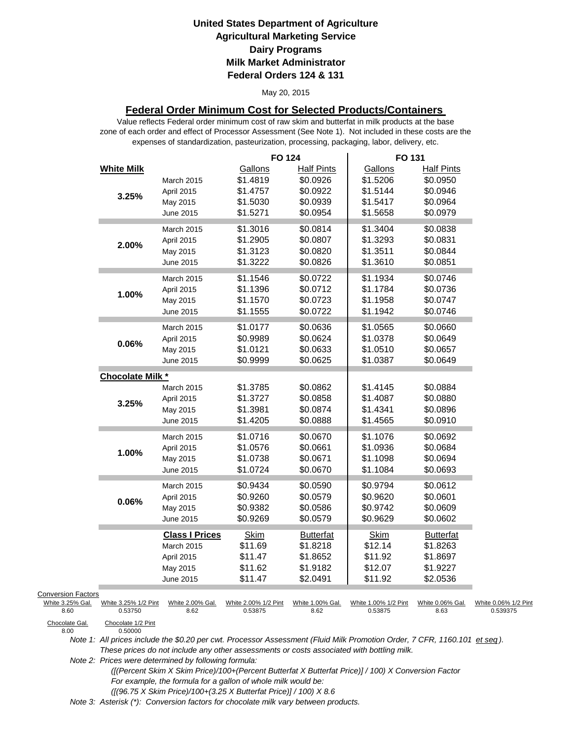#### May 20, 2015

### **Federal Order Minimum Cost for Selected Products/Containers**

Value reflects Federal order minimum cost of raw skim and butterfat in milk products at the base zone of each order and effect of Processor Assessment (See Note 1). Not included in these costs are the expenses of standardization, pasteurization, processing, packaging, labor, delivery, etc.

| <b>White Milk</b><br><b>Half Pints</b><br>Gallons<br><b>Half Pints</b><br>Gallons<br>\$1.4819<br>\$0.0926<br>\$1.5206<br>\$0.0950<br><b>March 2015</b><br>\$1.4757<br>\$0.0922<br>\$1.5144<br>\$0.0946<br>April 2015<br>3.25%<br>\$0.0964<br>\$1.5030<br>\$0.0939<br>\$1.5417<br>May 2015<br>\$1.5271<br>\$0.0954<br>\$1.5658<br>\$0.0979<br>June 2015<br>\$1.3016<br>\$0.0814<br>\$1.3404<br>\$0.0838<br><b>March 2015</b><br>\$0.0831<br>\$1.2905<br>\$0.0807<br>\$1.3293<br>April 2015<br>2.00%<br>\$1.3123<br>\$0.0820<br>\$1.3511<br>\$0.0844<br>May 2015 |  |
|----------------------------------------------------------------------------------------------------------------------------------------------------------------------------------------------------------------------------------------------------------------------------------------------------------------------------------------------------------------------------------------------------------------------------------------------------------------------------------------------------------------------------------------------------------------|--|
|                                                                                                                                                                                                                                                                                                                                                                                                                                                                                                                                                                |  |
|                                                                                                                                                                                                                                                                                                                                                                                                                                                                                                                                                                |  |
|                                                                                                                                                                                                                                                                                                                                                                                                                                                                                                                                                                |  |
|                                                                                                                                                                                                                                                                                                                                                                                                                                                                                                                                                                |  |
|                                                                                                                                                                                                                                                                                                                                                                                                                                                                                                                                                                |  |
|                                                                                                                                                                                                                                                                                                                                                                                                                                                                                                                                                                |  |
|                                                                                                                                                                                                                                                                                                                                                                                                                                                                                                                                                                |  |
|                                                                                                                                                                                                                                                                                                                                                                                                                                                                                                                                                                |  |
| \$1.3222<br>\$0.0826<br>\$1.3610<br>\$0.0851<br>June 2015                                                                                                                                                                                                                                                                                                                                                                                                                                                                                                      |  |
| \$1.1546<br>\$0.0722<br>\$1.1934<br>\$0.0746                                                                                                                                                                                                                                                                                                                                                                                                                                                                                                                   |  |
| March 2015<br>\$1.1396<br>\$0.0712<br>\$1.1784<br>\$0.0736                                                                                                                                                                                                                                                                                                                                                                                                                                                                                                     |  |
| April 2015<br>1.00%<br>\$1.1570<br>\$0.0723<br>\$1.1958<br>\$0.0747                                                                                                                                                                                                                                                                                                                                                                                                                                                                                            |  |
| May 2015                                                                                                                                                                                                                                                                                                                                                                                                                                                                                                                                                       |  |
| \$1.1555<br>\$0.0722<br>\$1.1942<br>\$0.0746<br>June 2015                                                                                                                                                                                                                                                                                                                                                                                                                                                                                                      |  |
| \$1.0177<br>\$0.0636<br>\$0.0660<br>\$1.0565<br><b>March 2015</b>                                                                                                                                                                                                                                                                                                                                                                                                                                                                                              |  |
| \$0.9989<br>\$0.0624<br>\$1.0378<br>\$0.0649<br>April 2015<br>0.06%                                                                                                                                                                                                                                                                                                                                                                                                                                                                                            |  |
| \$0.0633<br>\$1.0510<br>\$0.0657<br>\$1.0121<br>May 2015                                                                                                                                                                                                                                                                                                                                                                                                                                                                                                       |  |
| \$0.9999<br>\$1.0387<br>\$0.0649<br>\$0.0625<br>June 2015                                                                                                                                                                                                                                                                                                                                                                                                                                                                                                      |  |
| Chocolate Milk *                                                                                                                                                                                                                                                                                                                                                                                                                                                                                                                                               |  |
| \$1.3785<br>\$0.0862<br>\$1.4145<br>\$0.0884<br>March 2015                                                                                                                                                                                                                                                                                                                                                                                                                                                                                                     |  |
| \$1.3727<br>\$0.0880<br>\$0.0858<br>\$1.4087<br>April 2015                                                                                                                                                                                                                                                                                                                                                                                                                                                                                                     |  |
| 3.25%<br>\$0.0896<br>\$1.3981<br>\$0.0874<br>\$1.4341<br>May 2015                                                                                                                                                                                                                                                                                                                                                                                                                                                                                              |  |
| \$1.4205<br>\$0.0888<br>\$1.4565<br>\$0.0910<br>June 2015                                                                                                                                                                                                                                                                                                                                                                                                                                                                                                      |  |
| \$0.0670<br>\$1.0716<br>\$1.1076<br>\$0.0692<br><b>March 2015</b>                                                                                                                                                                                                                                                                                                                                                                                                                                                                                              |  |
| \$1.0576<br>\$0.0661<br>\$1.0936<br>\$0.0684<br>April 2015                                                                                                                                                                                                                                                                                                                                                                                                                                                                                                     |  |
| 1.00%<br>\$1.0738<br>\$0.0671<br>\$1.1098<br>\$0.0694<br>May 2015                                                                                                                                                                                                                                                                                                                                                                                                                                                                                              |  |
| \$1.0724<br>\$0.0670<br>\$1.1084<br>\$0.0693<br>June 2015                                                                                                                                                                                                                                                                                                                                                                                                                                                                                                      |  |
| \$0.0612<br>\$0.9794                                                                                                                                                                                                                                                                                                                                                                                                                                                                                                                                           |  |
| \$0.9434<br>\$0.0590<br>March 2015<br>\$0.9260<br>\$0.0579<br>\$0.9620<br>\$0.0601<br>April 2015                                                                                                                                                                                                                                                                                                                                                                                                                                                               |  |
| 0.06%<br>\$0.0609<br>\$0.9382<br>\$0.0586<br>\$0.9742                                                                                                                                                                                                                                                                                                                                                                                                                                                                                                          |  |
| May 2015<br>\$0.0602<br>\$0.9269<br>\$0.0579<br>\$0.9629<br>June 2015                                                                                                                                                                                                                                                                                                                                                                                                                                                                                          |  |
|                                                                                                                                                                                                                                                                                                                                                                                                                                                                                                                                                                |  |
| <b>Class I Prices</b><br><b>Skim</b><br><b>Butterfat</b><br><b>Skim</b><br><b>Butterfat</b>                                                                                                                                                                                                                                                                                                                                                                                                                                                                    |  |
| \$11.69<br>\$1.8218<br>\$12.14<br>\$1.8263<br><b>March 2015</b>                                                                                                                                                                                                                                                                                                                                                                                                                                                                                                |  |
| \$11.92<br>\$11.47<br>\$1.8652<br>\$1.8697<br>April 2015                                                                                                                                                                                                                                                                                                                                                                                                                                                                                                       |  |
| \$12.07<br>\$11.62<br>\$1.9182<br>\$1.9227<br>May 2015                                                                                                                                                                                                                                                                                                                                                                                                                                                                                                         |  |
| \$11.47<br>\$2.0491<br>\$11.92<br>\$2.0536<br>June 2015                                                                                                                                                                                                                                                                                                                                                                                                                                                                                                        |  |
| <b>Conversion Factors</b>                                                                                                                                                                                                                                                                                                                                                                                                                                                                                                                                      |  |
| White 3.25% Gal.<br>White 3.25% 1/2 Pint<br>White 2.00% Gal.<br>White 2.00% 1/2 Pint<br>White 1.00% Gal.<br>White 1.00% 1/2 Pint<br>White 0.06% Gal.<br>White 0.06% 1/2 Pint<br>0.53750<br>8.60<br>8.62<br>0.53875<br>8.62<br>0.53875<br>8.63<br>0.539375                                                                                                                                                                                                                                                                                                      |  |
| Chocolate Gal.<br>Chocolate 1/2 Pint<br>8.00<br>0.50000                                                                                                                                                                                                                                                                                                                                                                                                                                                                                                        |  |

Chocolate Gal.<br>8.00

*Note 1: All prices include the \$0.20 per cwt. Processor Assessment (Fluid Milk Promotion Order, 7 CFR, 1160.101 et seq ). These prices do not include any other assessments or costs associated with bottling milk.*

*Note 2: Prices were determined by following formula:* 

 *([(Percent Skim X Skim Price)/100+(Percent Butterfat X Butterfat Price)] / 100) X Conversion Factor For example, the formula for a gallon of whole milk would be: ([(96.75 X Skim Price)/100+(3.25 X Butterfat Price)] / 100) X 8.6*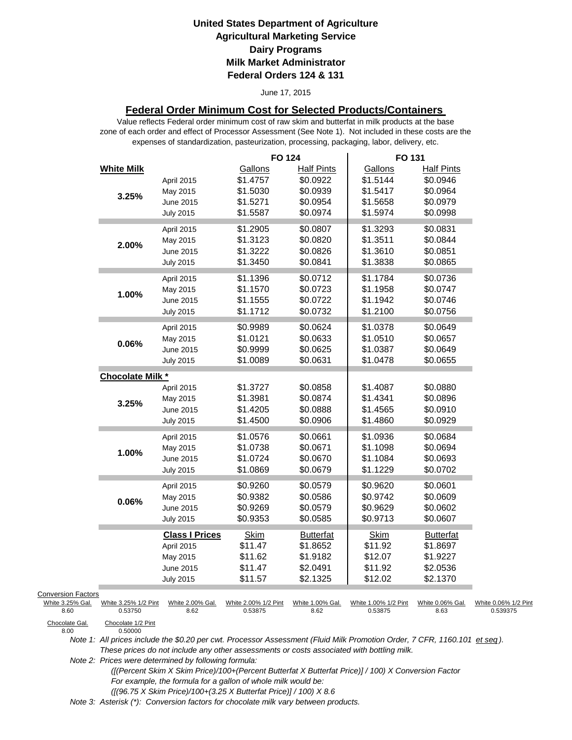#### June 17, 2015

### **Federal Order Minimum Cost for Selected Products/Containers**

Value reflects Federal order minimum cost of raw skim and butterfat in milk products at the base zone of each order and effect of Processor Assessment (See Note 1). Not included in these costs are the expenses of standardization, pasteurization, processing, packaging, labor, delivery, etc.

|                           |                               |                       | <b>FO 124</b>        |                   | FO 131               |                   |                      |
|---------------------------|-------------------------------|-----------------------|----------------------|-------------------|----------------------|-------------------|----------------------|
|                           | <b>White Milk</b>             |                       | Gallons              | <b>Half Pints</b> | Gallons              | <b>Half Pints</b> |                      |
|                           |                               | April 2015            | \$1.4757             | \$0.0922          | \$1.5144             | \$0.0946          |                      |
|                           | 3.25%                         | May 2015              | \$1.5030             | \$0.0939          | \$1.5417             | \$0.0964          |                      |
|                           |                               | June 2015             | \$1.5271             | \$0.0954          | \$1.5658             | \$0.0979          |                      |
|                           |                               | <b>July 2015</b>      | \$1.5587             | \$0.0974          | \$1.5974             | \$0.0998          |                      |
|                           |                               | April 2015            | \$1.2905             | \$0.0807          | \$1.3293             | \$0.0831          |                      |
|                           |                               | May 2015              | \$1.3123             | \$0.0820          | \$1.3511             | \$0.0844          |                      |
|                           | 2.00%                         | June 2015             | \$1.3222             | \$0.0826          | \$1.3610             | \$0.0851          |                      |
|                           |                               | <b>July 2015</b>      | \$1.3450             | \$0.0841          | \$1.3838             | \$0.0865          |                      |
|                           |                               | April 2015            | \$1.1396             | \$0.0712          | \$1.1784             | \$0.0736          |                      |
|                           |                               | May 2015              | \$1.1570             | \$0.0723          | \$1.1958             | \$0.0747          |                      |
|                           | 1.00%                         | June 2015             | \$1.1555             | \$0.0722          | \$1.1942             | \$0.0746          |                      |
|                           |                               | <b>July 2015</b>      | \$1.1712             | \$0.0732          | \$1.2100             | \$0.0756          |                      |
|                           |                               |                       |                      |                   |                      |                   |                      |
|                           |                               | April 2015            | \$0.9989             | \$0.0624          | \$1.0378             | \$0.0649          |                      |
|                           | 0.06%                         | May 2015              | \$1.0121             | \$0.0633          | \$1.0510             | \$0.0657          |                      |
|                           |                               | June 2015             | \$0.9999             | \$0.0625          | \$1.0387             | \$0.0649          |                      |
|                           |                               | <b>July 2015</b>      | \$1.0089             | \$0.0631          | \$1.0478             | \$0.0655          |                      |
|                           | <b>Chocolate Milk *</b>       |                       |                      |                   |                      |                   |                      |
|                           |                               | April 2015            | \$1.3727             | \$0.0858          | \$1.4087             | \$0.0880          |                      |
|                           | 3.25%                         | May 2015              | \$1.3981             | \$0.0874          | \$1.4341             | \$0.0896          |                      |
|                           |                               | June 2015             | \$1.4205             | \$0.0888          | \$1.4565             | \$0.0910          |                      |
|                           |                               | <b>July 2015</b>      | \$1.4500             | \$0.0906          | \$1.4860             | \$0.0929          |                      |
|                           |                               | April 2015            | \$1.0576             | \$0.0661          | \$1.0936             | \$0.0684          |                      |
|                           | 1.00%                         | May 2015              | \$1.0738             | \$0.0671          | \$1.1098             | \$0.0694          |                      |
|                           |                               | June 2015             | \$1.0724             | \$0.0670          | \$1.1084             | \$0.0693          |                      |
|                           |                               | <b>July 2015</b>      | \$1.0869             | \$0.0679          | \$1.1229             | \$0.0702          |                      |
|                           |                               | April 2015            | \$0.9260             | \$0.0579          | \$0.9620             | \$0.0601          |                      |
|                           | 0.06%                         | May 2015              | \$0.9382             | \$0.0586          | \$0.9742             | \$0.0609          |                      |
|                           |                               | June 2015             | \$0.9269             | \$0.0579          | \$0.9629             | \$0.0602          |                      |
|                           |                               | <b>July 2015</b>      | \$0.9353             | \$0.0585          | \$0.9713             | \$0.0607          |                      |
|                           |                               | <b>Class I Prices</b> | <b>Skim</b>          | <b>Butterfat</b>  | <b>Skim</b>          | <b>Butterfat</b>  |                      |
|                           |                               | April 2015            | \$11.47              | \$1.8652          | \$11.92              | \$1.8697          |                      |
|                           |                               | May 2015              | \$11.62              | \$1.9182          | \$12.07              | \$1.9227          |                      |
|                           |                               | June 2015             | \$11.47              | \$2.0491          | \$11.92              | \$2.0536          |                      |
|                           |                               | <b>July 2015</b>      | \$11.57              | \$2.1325          | \$12.02              | \$2.1370          |                      |
| <b>Conversion Factors</b> |                               |                       |                      |                   |                      |                   |                      |
| White 3.25% Gal.          | White 3.25% 1/2 Pint          | White 2.00% Gal.      | White 2.00% 1/2 Pint | White 1.00% Gal.  | White 1.00% 1/2 Pint | White 0.06% Gal.  | White 0.06% 1/2 Pint |
| 8.60                      | 0.53750                       | 8.62                  | 0.53875              | 8.62              | 0.53875              | 8.63              | 0.539375             |
| Chocolate Gal.<br>8.00    | Chocolate 1/2 Pint<br>0.50000 |                       |                      |                   |                      |                   |                      |

Chocolate Gal.<br>8.00

*Note 1: All prices include the \$0.20 per cwt. Processor Assessment (Fluid Milk Promotion Order, 7 CFR, 1160.101 et seq ). These prices do not include any other assessments or costs associated with bottling milk.*

*Note 2: Prices were determined by following formula:* 

 *([(Percent Skim X Skim Price)/100+(Percent Butterfat X Butterfat Price)] / 100) X Conversion Factor For example, the formula for a gallon of whole milk would be: ([(96.75 X Skim Price)/100+(3.25 X Butterfat Price)] / 100) X 8.6*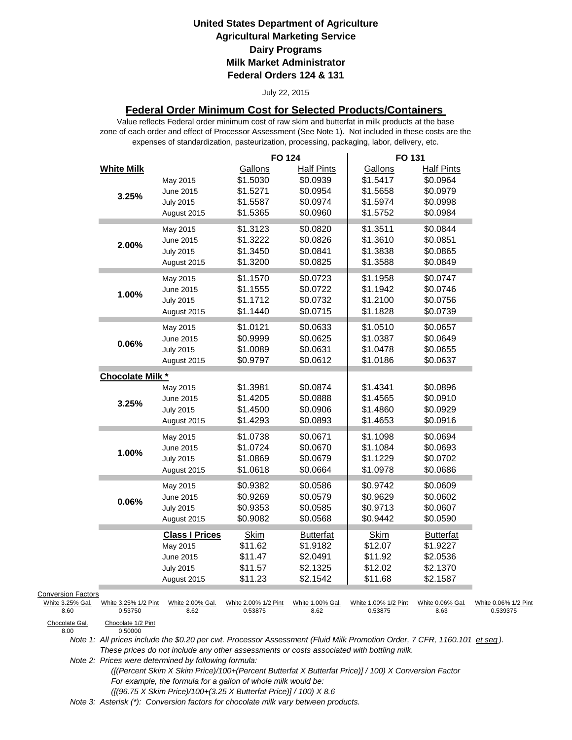#### July 22, 2015

### **Federal Order Minimum Cost for Selected Products/Containers**

Value reflects Federal order minimum cost of raw skim and butterfat in milk products at the base zone of each order and effect of Processor Assessment (See Note 1). Not included in these costs are the expenses of standardization, pasteurization, processing, packaging, labor, delivery, etc.

|                           |                                 |                          | <b>FO 124</b>                   |                          | FO 131                          |                          |                                  |
|---------------------------|---------------------------------|--------------------------|---------------------------------|--------------------------|---------------------------------|--------------------------|----------------------------------|
|                           | <b>White Milk</b>               |                          | Gallons                         | <b>Half Pints</b>        | Gallons                         | <b>Half Pints</b>        |                                  |
|                           |                                 | May 2015                 | \$1.5030                        | \$0.0939                 | \$1.5417                        | \$0.0964                 |                                  |
|                           | 3.25%                           | June 2015                | \$1.5271                        | \$0.0954                 | \$1.5658                        | \$0.0979                 |                                  |
|                           |                                 | <b>July 2015</b>         | \$1.5587                        | \$0.0974                 | \$1.5974                        | \$0.0998                 |                                  |
|                           |                                 | August 2015              | \$1.5365                        | \$0.0960                 | \$1.5752                        | \$0.0984                 |                                  |
|                           |                                 | May 2015                 | \$1.3123                        | \$0.0820                 | \$1.3511                        | \$0.0844                 |                                  |
|                           | 2.00%                           | June 2015                | \$1.3222                        | \$0.0826                 | \$1.3610                        | \$0.0851                 |                                  |
|                           |                                 | <b>July 2015</b>         | \$1.3450                        | \$0.0841                 | \$1.3838                        | \$0.0865                 |                                  |
|                           |                                 | August 2015              | \$1.3200                        | \$0.0825                 | \$1.3588                        | \$0.0849                 |                                  |
|                           |                                 | May 2015                 | \$1.1570                        | \$0.0723                 | \$1.1958                        | \$0.0747                 |                                  |
|                           |                                 | June 2015                | \$1.1555                        | \$0.0722                 | \$1.1942                        | \$0.0746                 |                                  |
|                           | 1.00%                           | <b>July 2015</b>         | \$1.1712                        | \$0.0732                 | \$1.2100                        | \$0.0756                 |                                  |
|                           |                                 | August 2015              | \$1.1440                        | \$0.0715                 | \$1.1828                        | \$0.0739                 |                                  |
|                           |                                 |                          |                                 |                          |                                 |                          |                                  |
|                           |                                 | May 2015                 | \$1.0121                        | \$0.0633                 | \$1.0510                        | \$0.0657                 |                                  |
|                           | 0.06%                           | June 2015                | \$0.9999                        | \$0.0625                 | \$1.0387                        | \$0.0649                 |                                  |
|                           |                                 | <b>July 2015</b>         | \$1.0089                        | \$0.0631                 | \$1.0478                        | \$0.0655                 |                                  |
|                           |                                 | August 2015              | \$0.9797                        | \$0.0612                 | \$1.0186                        | \$0.0637                 |                                  |
|                           | <b>Chocolate Milk *</b>         |                          |                                 |                          |                                 |                          |                                  |
|                           |                                 | May 2015                 | \$1.3981                        | \$0.0874                 | \$1.4341                        | \$0.0896                 |                                  |
|                           | 3.25%                           | June 2015                | \$1.4205                        | \$0.0888                 | \$1.4565                        | \$0.0910                 |                                  |
|                           |                                 | <b>July 2015</b>         | \$1.4500                        | \$0.0906                 | \$1.4860                        | \$0.0929                 |                                  |
|                           |                                 | August 2015              | \$1.4293                        | \$0.0893                 | \$1.4653                        | \$0.0916                 |                                  |
|                           |                                 | May 2015                 | \$1.0738                        | \$0.0671                 | \$1.1098                        | \$0.0694                 |                                  |
|                           |                                 | June 2015                | \$1.0724                        | \$0.0670                 | \$1.1084                        | \$0.0693                 |                                  |
|                           | 1.00%                           | <b>July 2015</b>         | \$1.0869                        | \$0.0679                 | \$1.1229                        | \$0.0702                 |                                  |
|                           |                                 | August 2015              | \$1.0618                        | \$0.0664                 | \$1.0978                        | \$0.0686                 |                                  |
|                           |                                 | May 2015                 | \$0.9382                        | \$0.0586                 | \$0.9742                        | \$0.0609                 |                                  |
|                           |                                 | June 2015                | \$0.9269                        | \$0.0579                 | \$0.9629                        | \$0.0602                 |                                  |
|                           | 0.06%                           | <b>July 2015</b>         | \$0.9353                        | \$0.0585                 | \$0.9713                        | \$0.0607                 |                                  |
|                           |                                 | August 2015              | \$0.9082                        | \$0.0568                 | \$0.9442                        | \$0.0590                 |                                  |
|                           |                                 |                          |                                 |                          |                                 |                          |                                  |
|                           |                                 | <b>Class I Prices</b>    | <b>Skim</b>                     | <b>Butterfat</b>         | <b>Skim</b>                     | <b>Butterfat</b>         |                                  |
|                           |                                 | May 2015                 | \$11.62                         | \$1.9182                 | \$12.07                         | \$1.9227                 |                                  |
|                           |                                 | June 2015                | \$11.47                         | \$2.0491                 | \$11.92                         | \$2.0536                 |                                  |
|                           |                                 | <b>July 2015</b>         | \$11.57                         | \$2.1325                 | \$12.02                         | \$2.1370                 |                                  |
|                           |                                 | August 2015              | \$11.23                         | \$2.1542                 | \$11.68                         | \$2.1587                 |                                  |
| <b>Conversion Factors</b> |                                 |                          |                                 |                          |                                 |                          |                                  |
| White 3.25% Gal.<br>8.60  | White 3.25% 1/2 Pint<br>0.53750 | White 2.00% Gal.<br>8.62 | White 2.00% 1/2 Pint<br>0.53875 | White 1.00% Gal.<br>8.62 | White 1.00% 1/2 Pint<br>0.53875 | White 0.06% Gal.<br>8.63 | White 0.06% 1/2 Pint<br>0.539375 |
| Chocolate Gal.            | Chocolate 1/2 Pint              |                          |                                 |                          |                                 |                          |                                  |
| 8.00                      | 0.50000                         |                          |                                 |                          |                                 |                          |                                  |

*Note 1: All prices include the \$0.20 per cwt. Processor Assessment (Fluid Milk Promotion Order, 7 CFR, 1160.101 et seq ). These prices do not include any other assessments or costs associated with bottling milk.*

*Note 2: Prices were determined by following formula:* 

 *([(Percent Skim X Skim Price)/100+(Percent Butterfat X Butterfat Price)] / 100) X Conversion Factor For example, the formula for a gallon of whole milk would be: ([(96.75 X Skim Price)/100+(3.25 X Butterfat Price)] / 100) X 8.6*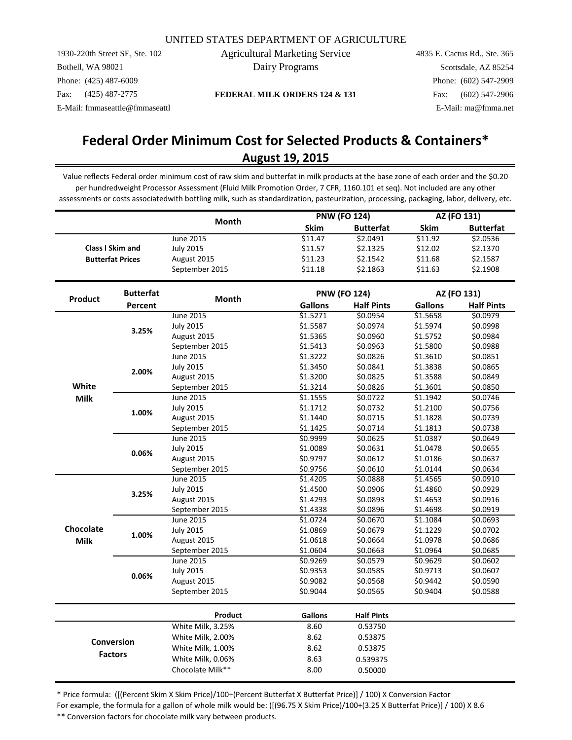1930-220th Street SE, Ste. 102 Bothell, WA 98021 Phone: (425) 487-6009 Fax: (425) 487-2775 E-Mail: fmmaseattle@fmmaseattl Agricultural Marketing Service Dairy Programs

**FEDERAL MILK ORDERS 124 & 131**

4835 E. Cactus Rd., Ste. 365 Scottsdale, AZ 85254 Phone: (602) 547-2909 Fax: (602) 547-2906 E-Mail: ma@fmma.net

# **August 19, 2015 Federal Order Minimum Cost for Selected Products & Containers\***

Value reflects Federal order minimum cost of raw skim and butterfat in milk products at the base zone of each order and the \$0.20 per hundredweight Processor Assessment (Fluid Milk Promotion Order, 7 CFR, 1160.101 et seq). Not included are any other assessments or costs associatedwith bottling milk, such as standardization, pasteurization, processing, packaging, labor, delivery, etc.

|             |                         | <b>Month</b>      |                | <b>PNW (FO 124)</b> | AZ (FO 131)    |                   |
|-------------|-------------------------|-------------------|----------------|---------------------|----------------|-------------------|
|             |                         |                   | Skim           | <b>Butterfat</b>    | Skim           | <b>Butterfat</b>  |
|             |                         | <b>June 2015</b>  | \$11.47        | \$2.0491            | \$11.92        | \$2.0536          |
|             | <b>Class I Skim and</b> | <b>July 2015</b>  | \$11.57        | \$2.1325            | \$12.02        | \$2.1370          |
|             | <b>Butterfat Prices</b> | August 2015       | \$11.23        | \$2.1542            | \$11.68        | \$2.1587          |
|             |                         | September 2015    | \$11.18        | \$2.1863            | \$11.63        | \$2.1908          |
|             |                         |                   |                |                     |                |                   |
| Product     | <b>Butterfat</b>        | Month             |                | <b>PNW (FO 124)</b> |                | AZ (FO 131)       |
|             | Percent                 |                   | <b>Gallons</b> | <b>Half Pints</b>   | <b>Gallons</b> | <b>Half Pints</b> |
|             |                         | June 2015         | \$1.5271       | \$0.0954            | \$1.5658       | \$0.0979          |
|             | 3.25%                   | <b>July 2015</b>  | \$1.5587       | \$0.0974            | \$1.5974       | \$0.0998          |
|             |                         | August 2015       | \$1.5365       | \$0.0960            | \$1.5752       | \$0.0984          |
|             |                         | September 2015    | \$1.5413       | \$0.0963            | \$1.5800       | \$0.0988          |
|             |                         | June 2015         | \$1.3222       | \$0.0826            | \$1.3610       | \$0.0851          |
|             | 2.00%                   | <b>July 2015</b>  | \$1.3450       | \$0.0841            | \$1.3838       | \$0.0865          |
|             |                         | August 2015       | \$1.3200       | \$0.0825            | \$1.3588       | \$0.0849          |
| White       |                         | September 2015    | \$1.3214       | \$0.0826            | \$1.3601       | \$0.0850          |
| <b>Milk</b> |                         | June 2015         | \$1.1555       | \$0.0722            | \$1.1942       | \$0.0746          |
|             | 1.00%                   | <b>July 2015</b>  | \$1.1712       | \$0.0732            | \$1.2100       | \$0.0756          |
|             |                         | August 2015       | \$1.1440       | \$0.0715            | \$1.1828       | \$0.0739          |
|             |                         | September 2015    | \$1.1425       | \$0.0714            | \$1.1813       | \$0.0738          |
|             |                         | June 2015         | \$0.9999       | \$0.0625            | \$1.0387       | \$0.0649          |
|             | 0.06%                   | <b>July 2015</b>  | \$1.0089       | \$0.0631            | \$1.0478       | \$0.0655          |
|             |                         | August 2015       | \$0.9797       | \$0.0612            | \$1.0186       | \$0.0637          |
|             |                         | September 2015    | \$0.9756       | \$0.0610            | \$1.0144       | \$0.0634          |
|             |                         | June 2015         | \$1.4205       | \$0.0888            | \$1.4565       | \$0.0910          |
|             | 3.25%                   | <b>July 2015</b>  | \$1.4500       | \$0.0906            | \$1.4860       | \$0.0929          |
|             |                         | August 2015       | \$1.4293       | \$0.0893            | \$1.4653       | \$0.0916          |
|             |                         | September 2015    | \$1.4338       | \$0.0896            | \$1.4698       | \$0.0919          |
|             |                         | June 2015         | \$1.0724       | \$0.0670            | \$1.1084       | \$0.0693          |
| Chocolate   | 1.00%                   | <b>July 2015</b>  | \$1.0869       | \$0.0679            | \$1.1229       | \$0.0702          |
| <b>Milk</b> |                         | August 2015       | \$1.0618       | \$0.0664            | \$1.0978       | \$0.0686          |
|             |                         | September 2015    | \$1.0604       | \$0.0663            | \$1.0964       | \$0.0685          |
|             |                         | June 2015         | \$0.9269       | \$0.0579            | \$0.9629       | \$0.0602          |
|             | 0.06%                   | <b>July 2015</b>  | \$0.9353       | \$0.0585            | \$0.9713       | \$0.0607          |
|             |                         | August 2015       | \$0.9082       | \$0.0568            | \$0.9442       | \$0.0590          |
|             |                         | September 2015    | \$0.9044       | \$0.0565            | \$0.9404       | \$0.0588          |
|             |                         | Product           | Gallons        | <b>Half Pints</b>   |                |                   |
|             |                         | White Milk, 3.25% | 8.60           | 0.53750             |                |                   |
|             |                         | White Milk, 2.00% | 8.62           | 0.53875             |                |                   |
|             | <b>Conversion</b>       |                   |                |                     |                |                   |
|             | <b>Factors</b>          | White Milk, 1.00% | 8.62           | 0.53875             |                |                   |
|             |                         | White Milk, 0.06% | 8.63           | 0.539375            |                |                   |
|             |                         | Chocolate Milk**  | 8.00           | 0.50000             |                |                   |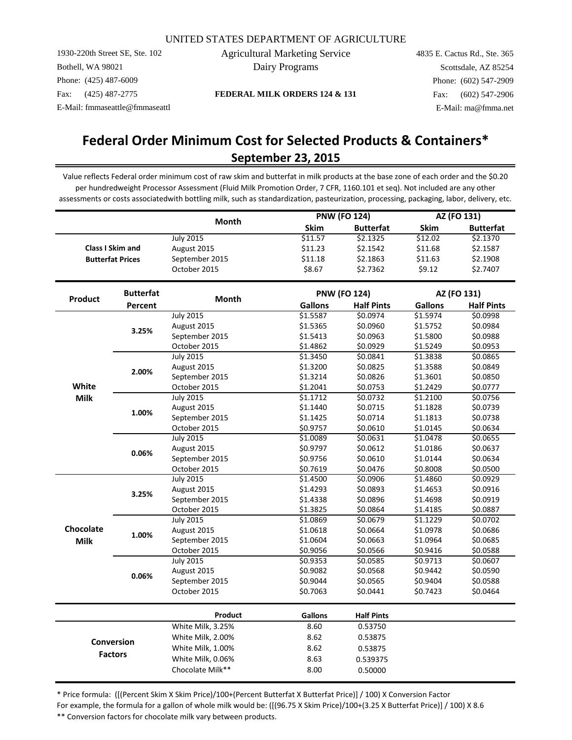1930-220th Street SE, Ste. 102 Bothell, WA 98021 Phone: (425) 487-6009 Fax: (425) 487-2775 E-Mail: fmmaseattle@fmmaseattl Agricultural Marketing Service Dairy Programs

**FEDERAL MILK ORDERS 124 & 131**

4835 E. Cactus Rd., Ste. 365 Scottsdale, AZ 85254 Phone: (602) 547-2909 Fax: (602) 547-2906 E-Mail: ma@fmma.net

## **Federal Order Minimum Cost for Selected Products & Containers\* September 23, 2015**

Value reflects Federal order minimum cost of raw skim and butterfat in milk products at the base zone of each order and the \$0.20 per hundredweight Processor Assessment (Fluid Milk Promotion Order, 7 CFR, 1160.101 et seq). Not included are any other assessments or costs associatedwith bottling milk, such as standardization, pasteurization, processing, packaging, labor, delivery, etc.

|                |                         | Month             | <b>PNW (FO 124)</b> |                   | AZ (FO 131)    |                   |
|----------------|-------------------------|-------------------|---------------------|-------------------|----------------|-------------------|
|                |                         |                   | Skim                | <b>Butterfat</b>  | <b>Skim</b>    | <b>Butterfat</b>  |
|                |                         | <b>July 2015</b>  | \$11.57             | \$2.1325          | \$12.02        | \$2.1370          |
|                | <b>Class I Skim and</b> | August 2015       | \$11.23             | \$2.1542          | \$11.68        | \$2.1587          |
|                | <b>Butterfat Prices</b> | September 2015    | \$11.18             | \$2.1863          | \$11.63        | \$2.1908          |
|                |                         | October 2015      | \$8.67              | \$2.7362          | \$9.12         | \$2.7407          |
|                | <b>Butterfat</b>        |                   | <b>PNW (FO 124)</b> |                   | AZ (FO 131)    |                   |
| Product        | Percent                 | Month             | <b>Gallons</b>      | <b>Half Pints</b> | <b>Gallons</b> | <b>Half Pints</b> |
|                |                         | <b>July 2015</b>  | \$1.5587            | \$0.0974          | \$1.5974       | \$0.0998          |
|                |                         | August 2015       | \$1.5365            | \$0.0960          | \$1.5752       | \$0.0984          |
|                | 3.25%                   | September 2015    | \$1.5413            | \$0.0963          | \$1.5800       | \$0.0988          |
|                |                         | October 2015      | \$1.4862            | \$0.0929          | \$1.5249       | \$0.0953          |
|                |                         | <b>July 2015</b>  | \$1.3450            | \$0.0841          | \$1.3838       | \$0.0865          |
|                |                         | August 2015       | \$1.3200            | \$0.0825          | \$1.3588       | \$0.0849          |
|                | 2.00%                   | September 2015    | \$1.3214            | \$0.0826          | \$1.3601       | \$0.0850          |
| White          |                         | October 2015      | \$1.2041            | \$0.0753          | \$1.2429       | \$0.0777          |
| <b>Milk</b>    |                         | <b>July 2015</b>  | \$1.1712            | \$0.0732          | \$1.2100       | \$0.0756          |
| 1.00%<br>0.06% | August 2015             | \$1.1440          | \$0.0715            | \$1.1828          | \$0.0739       |                   |
|                |                         | September 2015    | \$1.1425            | \$0.0714          | \$1.1813       | \$0.0738          |
|                |                         | October 2015      | \$0.9757            | \$0.0610          | \$1.0145       | \$0.0634          |
|                |                         | <b>July 2015</b>  | \$1.0089            | \$0.0631          | \$1.0478       | \$0.0655          |
|                | August 2015             | \$0.9797          | \$0.0612            | \$1.0186          | \$0.0637       |                   |
|                |                         | September 2015    | \$0.9756            | \$0.0610          | \$1.0144       | \$0.0634          |
|                |                         | October 2015      | \$0.7619            | \$0.0476          | \$0.8008       | \$0.0500          |
|                |                         | <b>July 2015</b>  | \$1.4500            | \$0.0906          | \$1.4860       | \$0.0929          |
|                | 3.25%                   | August 2015       | \$1.4293            | \$0.0893          | \$1.4653       | \$0.0916          |
|                |                         | September 2015    | \$1.4338            | \$0.0896          | \$1.4698       | \$0.0919          |
|                |                         | October 2015      | \$1.3825            | \$0.0864          | \$1.4185       | \$0.0887          |
|                |                         | <b>July 2015</b>  | \$1.0869            | \$0.0679          | \$1.1229       | \$0.0702          |
| Chocolate      | 1.00%                   | August 2015       | \$1.0618            | \$0.0664          | \$1.0978       | \$0.0686          |
| <b>Milk</b>    |                         | September 2015    | \$1.0604            | \$0.0663          | \$1.0964       | \$0.0685          |
|                |                         | October 2015      | \$0.9056            | \$0.0566          | \$0.9416       | \$0.0588          |
|                |                         | <b>July 2015</b>  | \$0.9353            | \$0.0585          | \$0.9713       | \$0.0607          |
|                | 0.06%                   | August 2015       | \$0.9082            | \$0.0568          | \$0.9442       | \$0.0590          |
|                |                         | September 2015    | \$0.9044            | \$0.0565          | \$0.9404       | \$0.0588          |
|                |                         | October 2015      | \$0.7063            | \$0.0441          | \$0.7423       | \$0.0464          |
|                |                         | Product           | <b>Gallons</b>      | <b>Half Pints</b> |                |                   |
|                |                         | White Milk, 3.25% | 8.60                | 0.53750           |                |                   |
|                |                         | White Milk, 2.00% | 8.62                | 0.53875           |                |                   |
|                | <b>Conversion</b>       | White Milk, 1.00% | 8.62                | 0.53875           |                |                   |
|                | <b>Factors</b>          | White Milk, 0.06% | 8.63                | 0.539375          |                |                   |
|                |                         | Chocolate Milk**  | 8.00                | 0.50000           |                |                   |
|                |                         |                   |                     |                   |                |                   |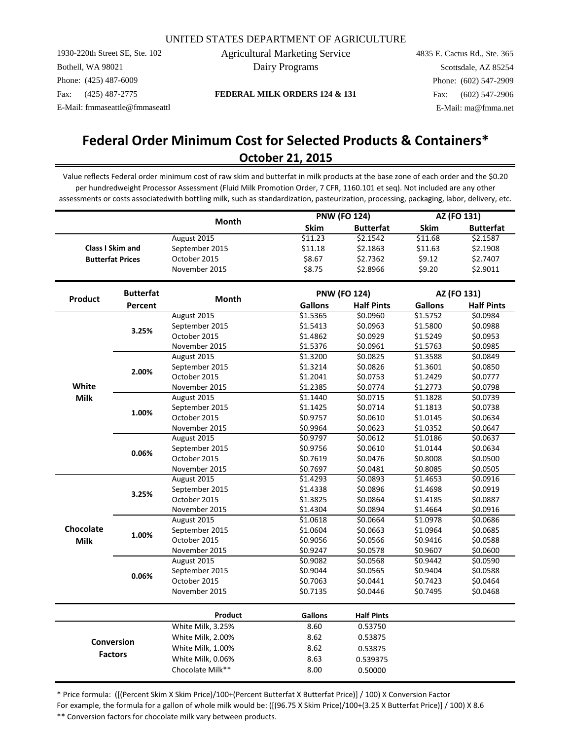1930-220th Street SE, Ste. 102 Bothell, WA 98021 Phone: (425) 487-6009 Fax: (425) 487-2775 E-Mail: fmmaseattle@fmmaseattl Agricultural Marketing Service Dairy Programs

**FEDERAL MILK ORDERS 124 & 131**

4835 E. Cactus Rd., Ste. 365 Scottsdale, AZ 85254 Phone: (602) 547-2909 Fax: (602) 547-2906 E-Mail: ma@fmma.net

## **Federal Order Minimum Cost for Selected Products & Containers\* October 21, 2015**

Value reflects Federal order minimum cost of raw skim and butterfat in milk products at the base zone of each order and the \$0.20 per hundredweight Processor Assessment (Fluid Milk Promotion Order, 7 CFR, 1160.101 et seq). Not included are any other assessments or costs associatedwith bottling milk, such as standardization, pasteurization, processing, packaging, labor, delivery, etc.

|                |                         | <b>Month</b>      |                     | <b>PNW (FO 124)</b> | AZ (FO 131)    |                   |
|----------------|-------------------------|-------------------|---------------------|---------------------|----------------|-------------------|
|                |                         |                   | Skim                | <b>Butterfat</b>    | <b>Skim</b>    | <b>Butterfat</b>  |
|                |                         | August 2015       | \$11.23             | \$2.1542            | \$11.68        | \$2.1587          |
|                | <b>Class I Skim and</b> | September 2015    | \$11.18             | \$2.1863            | \$11.63        | \$2.1908          |
|                | <b>Butterfat Prices</b> | October 2015      | \$8.67              | \$2.7362            | \$9.12         | \$2.7407          |
|                |                         | November 2015     | \$8.75              | \$2.8966            | \$9.20         | \$2.9011          |
|                | <b>Butterfat</b>        |                   | <b>PNW (FO 124)</b> |                     | AZ (FO 131)    |                   |
| <b>Product</b> | Percent                 | <b>Month</b>      | <b>Gallons</b>      | <b>Half Pints</b>   | <b>Gallons</b> | <b>Half Pints</b> |
|                |                         | August 2015       | \$1.5365            | \$0.0960            | \$1.5752       | \$0.0984          |
|                | 3.25%                   | September 2015    | \$1.5413            | \$0.0963            | \$1.5800       | \$0.0988          |
|                |                         | October 2015      | \$1.4862            | \$0.0929            | \$1.5249       | \$0.0953          |
|                |                         | November 2015     | \$1.5376            | \$0.0961            | \$1.5763       | \$0.0985          |
|                |                         | August 2015       | \$1.3200            | \$0.0825            | \$1.3588       | \$0.0849          |
|                | 2.00%                   | September 2015    | \$1.3214            | \$0.0826            | \$1.3601       | \$0.0850          |
|                |                         | October 2015      | \$1.2041            | \$0.0753            | \$1.2429       | \$0.0777          |
| White          |                         | November 2015     | \$1.2385            | \$0.0774            | \$1.2773       | \$0.0798          |
| <b>Milk</b>    |                         | August 2015       | \$1.1440            | \$0.0715            | \$1.1828       | \$0.0739          |
| 1.00%          | September 2015          | \$1.1425          | \$0.0714            | \$1.1813            | \$0.0738       |                   |
|                |                         | October 2015      | \$0.9757            | \$0.0610            | \$1.0145       | \$0.0634          |
|                |                         | November 2015     | \$0.9964            | \$0.0623            | \$1.0352       | \$0.0647          |
|                |                         | August 2015       | \$0.9797            | \$0.0612            | \$1.0186       | \$0.0637          |
|                | 0.06%                   | September 2015    | \$0.9756            | \$0.0610            | \$1.0144       | \$0.0634          |
|                | October 2015            | \$0.7619          | \$0.0476            | \$0.8008            | \$0.0500       |                   |
|                |                         | November 2015     | \$0.7697            | \$0.0481            | \$0.8085       | \$0.0505          |
|                |                         | August 2015       | \$1.4293            | \$0.0893            | \$1.4653       | \$0.0916          |
|                | 3.25%                   | September 2015    | \$1.4338            | \$0.0896            | \$1.4698       | \$0.0919          |
|                |                         | October 2015      | \$1.3825            | \$0.0864            | \$1.4185       | \$0.0887          |
|                |                         | November 2015     | \$1.4304            | \$0.0894            | \$1.4664       | \$0.0916          |
|                |                         | August 2015       | \$1.0618            | \$0.0664            | \$1.0978       | \$0.0686          |
| Chocolate      | 1.00%                   | September 2015    | \$1.0604            | \$0.0663            | \$1.0964       | \$0.0685          |
| <b>Milk</b>    |                         | October 2015      | \$0.9056            | \$0.0566            | \$0.9416       | \$0.0588          |
|                |                         | November 2015     | \$0.9247            | \$0.0578            | \$0.9607       | \$0.0600          |
|                |                         | August 2015       | \$0.9082            | \$0.0568            | \$0.9442       | \$0.0590          |
|                | 0.06%                   | September 2015    | \$0.9044            | \$0.0565            | \$0.9404       | \$0.0588          |
|                |                         | October 2015      | \$0.7063            | \$0.0441            | \$0.7423       | \$0.0464          |
|                |                         | November 2015     | \$0.7135            | \$0.0446            | \$0.7495       | \$0.0468          |
|                |                         | Product           | <b>Gallons</b>      | <b>Half Pints</b>   |                |                   |
|                |                         | White Milk, 3.25% | 8.60                | 0.53750             |                |                   |
|                |                         | White Milk, 2.00% | 8.62                | 0.53875             |                |                   |
|                | <b>Conversion</b>       | White Milk, 1.00% | 8.62                | 0.53875             |                |                   |
|                | <b>Factors</b>          | White Milk, 0.06% | 8.63                | 0.539375            |                |                   |
|                |                         | Chocolate Milk**  | 8.00                | 0.50000             |                |                   |
|                |                         |                   |                     |                     |                |                   |